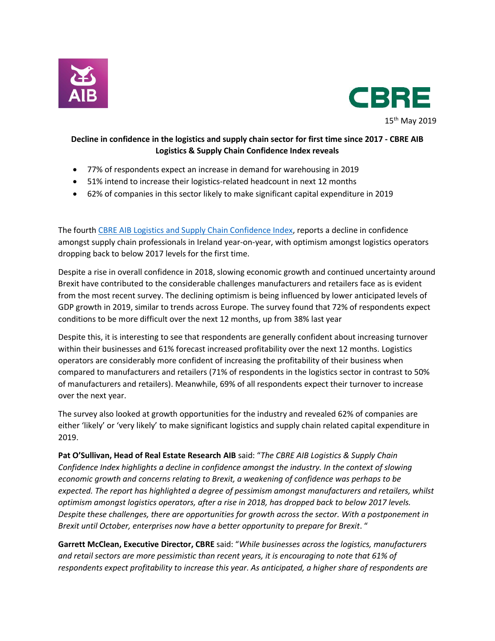



## **Decline in confidence in the logistics and supply chain sector for first time since 2017 - CBRE AIB Logistics & Supply Chain Confidence Index reveals**

- 77% of respondents expect an increase in demand for warehousing in 2019
- 51% intend to increase their logistics-related headcount in next 12 months
- 62% of companies in this sector likely to make significant capital expenditure in 2019

The fourth [CBRE AIB Logistics and Supply Chain Confidence Index,](https://business.aib.ie/content/dam/aib/business/docs/help-and-guidance/logistics-and-supply-chain-confidence-index-2019.pdf) reports a decline in confidence amongst supply chain professionals in Ireland year-on-year, with optimism amongst logistics operators dropping back to below 2017 levels for the first time.

Despite a rise in overall confidence in 2018, slowing economic growth and continued uncertainty around Brexit have contributed to the considerable challenges manufacturers and retailers face as is evident from the most recent survey. The declining optimism is being influenced by lower anticipated levels of GDP growth in 2019, similar to trends across Europe. The survey found that 72% of respondents expect conditions to be more difficult over the next 12 months, up from 38% last year

Despite this, it is interesting to see that respondents are generally confident about increasing turnover within their businesses and 61% forecast increased profitability over the next 12 months. Logistics operators are considerably more confident of increasing the profitability of their business when compared to manufacturers and retailers (71% of respondents in the logistics sector in contrast to 50% of manufacturers and retailers). Meanwhile, 69% of all respondents expect their turnover to increase over the next year.

The survey also looked at growth opportunities for the industry and revealed 62% of companies are either 'likely' or 'very likely' to make significant logistics and supply chain related capital expenditure in 2019.

**Pat O'Sullivan, Head of Real Estate Research AIB** said: "*The CBRE AIB Logistics & Supply Chain Confidence Index highlights a decline in confidence amongst the industry. In the context of slowing economic growth and concerns relating to Brexit, a weakening of confidence was perhaps to be expected. The report has highlighted a degree of pessimism amongst manufacturers and retailers, whilst optimism amongst logistics operators, after a rise in 2018, has dropped back to below 2017 levels. Despite these challenges, there are opportunities for growth across the sector. With a postponement in Brexit until October, enterprises now have a better opportunity to prepare for Brexit*. "

**Garrett McClean, Executive Director, CBRE** said: "*While businesses across the logistics, manufacturers and retail sectors are more pessimistic than recent years, it is encouraging to note that 61% of respondents expect profitability to increase this year. As anticipated, a higher share of respondents are*